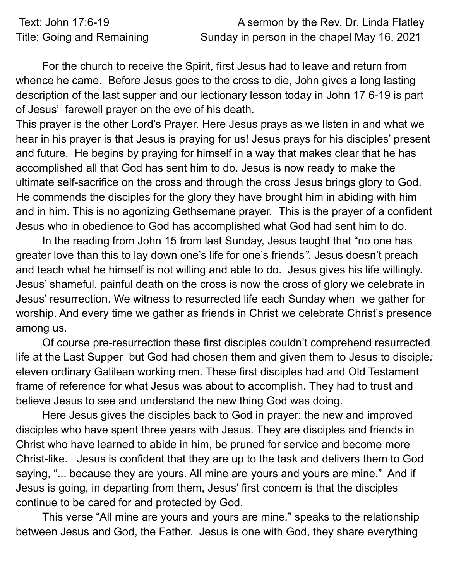| Text: John 17:6-19         | A sermon by the Rev. Dr. Linda Flatley      |
|----------------------------|---------------------------------------------|
| Title: Going and Remaining | Sunday in person in the chapel May 16, 2021 |

For the church to receive the Spirit, first Jesus had to leave and return from whence he came. Before Jesus goes to the cross to die, John gives a long lasting description of the last supper and our lectionary lesson today in John 17 6-19 is part of Jesus' farewell prayer on the eve of his death.

This prayer is the other Lord's Prayer. Here Jesus prays as we listen in and what we hear in his prayer is that Jesus is praying for us! Jesus prays for his disciples' present and future. He begins by praying for himself in a way that makes clear that he has accomplished all that God has sent him to do. Jesus is now ready to make the ultimate self-sacrifice on the cross and through the cross Jesus brings glory to God. He commends the disciples for the glory they have brought him in abiding with him and in him. This is no agonizing Gethsemane prayer. This is the prayer of a confident Jesus who in obedience to God has accomplished what God had sent him to do.

In the reading from John 15 from last Sunday, Jesus taught that "no one has greater love than this to lay down one's life for one's friends*".* Jesus doesn't preach and teach what he himself is not willing and able to do. Jesus gives his life willingly. Jesus' shameful, painful death on the cross is now the cross of glory we celebrate in Jesus' resurrection. We witness to resurrected life each Sunday when we gather for worship. And every time we gather as friends in Christ we celebrate Christ's presence among us.

Of course pre-resurrection these first disciples couldn't comprehend resurrected life at the Last Supper but God had chosen them and given them to Jesus to disciple*:* eleven ordinary Galilean working men. These first disciples had and Old Testament frame of reference for what Jesus was about to accomplish. They had to trust and believe Jesus to see and understand the new thing God was doing.

Here Jesus gives the disciples back to God in prayer: the new and improved disciples who have spent three years with Jesus. They are disciples and friends in Christ who have learned to abide in him, be pruned for service and become more Christ-like. Jesus is confident that they are up to the task and delivers them to God saying, "... because they are yours. All mine are yours and yours are mine*.*" And if Jesus is going, in departing from them, Jesus' first concern is that the disciples continue to be cared for and protected by God.

This verse "All mine are yours and yours are mine*.*" speaks to the relationship between Jesus and God, the Father. Jesus is one with God, they share everything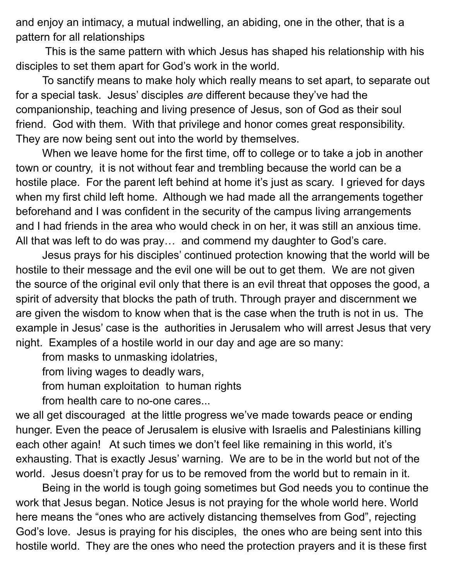and enjoy an intimacy, a mutual indwelling, an abiding, one in the other, that is a pattern for all relationships

This is the same pattern with which Jesus has shaped his relationship with his disciples to set them apart for God's work in the world.

To sanctify means to make holy which really means to set apart, to separate out for a special task. Jesus' disciples *are* different because they've had the companionship, teaching and living presence of Jesus, son of God as their soul friend. God with them. With that privilege and honor comes great responsibility. They are now being sent out into the world by themselves.

When we leave home for the first time, off to college or to take a job in another town or country, it is not without fear and trembling because the world can be a hostile place. For the parent left behind at home it's just as scary. I grieved for days when my first child left home. Although we had made all the arrangements together beforehand and I was confident in the security of the campus living arrangements and I had friends in the area who would check in on her, it was still an anxious time. All that was left to do was pray… and commend my daughter to God's care.

Jesus prays for his disciples' continued protection knowing that the world will be hostile to their message and the evil one will be out to get them. We are not given the source of the original evil only that there is an evil threat that opposes the good, a spirit of adversity that blocks the path of truth. Through prayer and discernment we are given the wisdom to know when that is the case when the truth is not in us. The example in Jesus' case is the authorities in Jerusalem who will arrest Jesus that very night. Examples of a hostile world in our day and age are so many:

from masks to unmasking idolatries,

from living wages to deadly wars,

from human exploitation to human rights

from health care to no-one cares...

we all get discouraged at the little progress we've made towards peace or ending hunger. Even the peace of Jerusalem is elusive with Israelis and Palestinians killing each other again! At such times we don't feel like remaining in this world, it's exhausting. That is exactly Jesus' warning. We are to be in the world but not of the world. Jesus doesn't pray for us to be removed from the world but to remain in it.

Being in the world is tough going sometimes but God needs you to continue the work that Jesus began. Notice Jesus is not praying for the whole world here. World here means the "ones who are actively distancing themselves from God", rejecting God's love. Jesus is praying for his disciples, the ones who are being sent into this hostile world. They are the ones who need the protection prayers and it is these first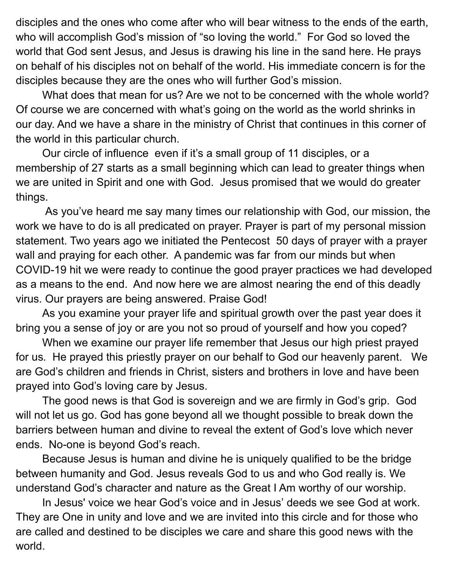disciples and the ones who come after who will bear witness to the ends of the earth, who will accomplish God's mission of "so loving the world." For God so loved the world that God sent Jesus, and Jesus is drawing his line in the sand here. He prays on behalf of his disciples not on behalf of the world. His immediate concern is for the disciples because they are the ones who will further God's mission.

What does that mean for us? Are we not to be concerned with the whole world? Of course we are concerned with what's going on the world as the world shrinks in our day. And we have a share in the ministry of Christ that continues in this corner of the world in this particular church.

Our circle of influence even if it's a small group of 11 disciples, or a membership of 27 starts as a small beginning which can lead to greater things when we are united in Spirit and one with God. Jesus promised that we would do greater things.

As you've heard me say many times our relationship with God, our mission, the work we have to do is all predicated on prayer. Prayer is part of my personal mission statement. Two years ago we initiated the Pentecost 50 days of prayer with a prayer wall and praying for each other. A pandemic was far from our minds but when COVID-19 hit we were ready to continue the good prayer practices we had developed as a means to the end. And now here we are almost nearing the end of this deadly virus. Our prayers are being answered. Praise God!

As you examine your prayer life and spiritual growth over the past year does it bring you a sense of joy or are you not so proud of yourself and how you coped?

When we examine our prayer life remember that Jesus our high priest prayed for us*.* He prayed this priestly prayer on our behalf to God our heavenly parent. We are God's children and friends in Christ, sisters and brothers in love and have been prayed into God's loving care by Jesus.

The good news is that God is sovereign and we are firmly in God's grip. God will not let us go. God has gone beyond all we thought possible to break down the barriers between human and divine to reveal the extent of God's love which never ends. No-one is beyond God's reach.

Because Jesus is human and divine he is uniquely qualified to be the bridge between humanity and God. Jesus reveals God to us and who God really is. We understand God's character and nature as the Great I Am worthy of our worship.

In Jesus' voice we hear God's voice and in Jesus' deeds we see God at work. They are One in unity and love and we are invited into this circle and for those who are called and destined to be disciples we care and share this good news with the world.